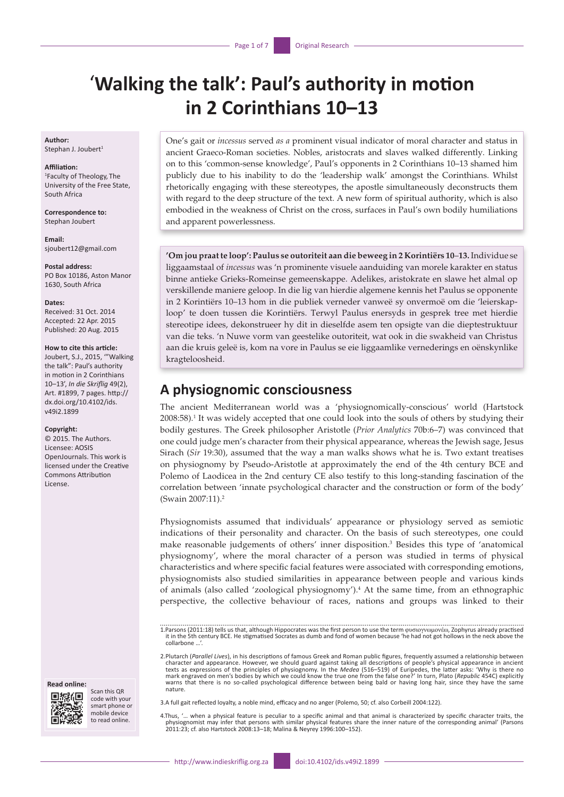# �**Walking the talk': Paul's authority in motion in 2 Corinthians 10–13**

**Author:** Stephan J. Joubert<sup>1</sup>

#### **Affiliation:**

1 Faculty of Theology, The University of the Free State, South Africa

**Correspondence to:** Stephan Joubert

**Email:** [sjoubert12@gmail.com](mailto:sjoubert12@gmail.com)

**Postal address:** PO Box 10186, Aston Manor 1630, South Africa

#### **Dates:**

Received: 31 Oct. 2014 Accepted: 22 Apr. 2015 Published: 20 Aug. 2015

#### **How to cite this article:**

Joubert, S.J., 2015, '"Walking the talk": Paul's authority in motion in 2 Corinthians 10–13', *In die Skriflig* 49(2), Art. #1899, 7 pages. [http://](http://dx.doi.org/10.4102/ids.v49i2.1899) [dx.doi.org/10.4102/ids.](http://dx.doi.org/10.4102/ids.v49i2.1899) [v49i2.1899](http://dx.doi.org/10.4102/ids.v49i2.1899)

#### **Copyright:**

© 2015. The Authors. Licensee: AOSIS OpenJournals. This work is licensed under the Creative Commons Attribution License.

**Read online:**



Scan this QR code with your smart phone or mobile device to read online.

One's gait or *incessus* served *as a* prominent visual indicator of moral character and status in ancient Graeco-Roman societies. Nobles, aristocrats and slaves walked differently. Linking on to this 'common-sense knowledge', Paul's opponents in 2 Corinthians 10–13 shamed him publicly due to his inability to do the 'leadership walk' amongst the Corinthians. Whilst rhetorically engaging with these stereotypes, the apostle simultaneously deconstructs them with regard to the deep structure of the text. A new form of spiritual authority, which is also embodied in the weakness of Christ on the cross, surfaces in Paul's own bodily humiliations and apparent powerlessness.

**'Om jou praat te loop': Paulus se outoriteit aan die beweeg in 2 Korintiërs 10**–**13.** Individue se liggaamstaal of *incessus* was 'n prominente visuele aanduiding van morele karakter en status binne antieke Grieks-Romeinse gemeenskappe. Adelikes, aristokrate en slawe het almal op verskillende maniere geloop. In die lig van hierdie algemene kennis het Paulus se opponente in 2 Korintiërs 10–13 hom in die publiek verneder vanweë sy onvermoë om die 'leierskaploop' te doen tussen die Korintiërs. Terwyl Paulus enersyds in gesprek tree met hierdie stereotipe idees, dekonstrueer hy dit in dieselfde asem ten opsigte van die dieptestruktuur van die teks. 'n Nuwe vorm van geestelike outoriteit, wat ook in die swakheid van Christus aan die kruis geleë is, kom na vore in Paulus se eie liggaamlike vernederings en oënskynlike kragteloosheid.

# **A physiognomic consciousness**

The ancient Mediterranean world was a 'physiognomically-conscious' world (Hartstock 2008:58).<sup>1</sup> It was widely accepted that one could look into the souls of others by studying their bodily gestures. The Greek philosopher Aristotle (*Prior Analytics* 70b:6–7) was convinced that one could judge men's character from their physical appearance, whereas the Jewish sage, Jesus Sirach (*Sir* 19:30), assumed that the way a man walks shows what he is. Two extant treatises on physiognomy by Pseudo-Aristotle at approximately the end of the 4th century BCE and Polemo of Laodicea in the 2nd century CE also testify to this long-standing fascination of the correlation between 'innate psychological character and the construction or form of the body' (Swain 2007:11).2

Physiognomists assumed that individuals' appearance or physiology served as semiotic indications of their personality and character. On the basis of such stereotypes, one could make reasonable judgements of others' inner disposition.<sup>3</sup> Besides this type of 'anatomical physiognomy', where the moral character of a person was studied in terms of physical characteristics and where specific facial features were associated with corresponding emotions, physiognomists also studied similarities in appearance between people and various kinds of animals (also called 'zoological physiognomy').4 At the same time, from an ethnographic perspective, the collective behaviour of races, nations and groups was linked to their

1.Parsons (2011:18) tells us that, although Hippocrates was the first person to use the term φυσιογνωμονέω, Zophyrus already practised it in the 5th century BCE. He stigmatised Socrates as dumb and fond of women because 'he had not got hollows in the neck above the collarbone ...

2.Plutarch (*Parallel Lives*), in his descriptions of famous Greek and Roman public figures, frequently assumed a relationship between character and appearance. However, we should guard against taking all descriptions of people's physical appearance in ancient<br>texts as expressions of the principles of physiognomy. In the *Medeα* (516–519) of Euripedes, th mark engraved on men's bodies by which we could know the true one from the false one?' In turn, Plato (*Republic* 454C) explicitly<br>warns that there is no so-called psychological difference between being bald or having long nature.

3.A full gait reflected loyalty, a noble mind, efficacy and no anger (Polemo, 50; cf. also Corbeill 2004:122).

4.Thus, '... when a physical feature is peculiar to a specific animal and that animal is characterized by specific character traits, the<br>physiognomist may infer that persons with similar physical features share the inner n 2011:23; cf. also Hartstock 2008:13–18; Malina & Neyrey 1996:100–152).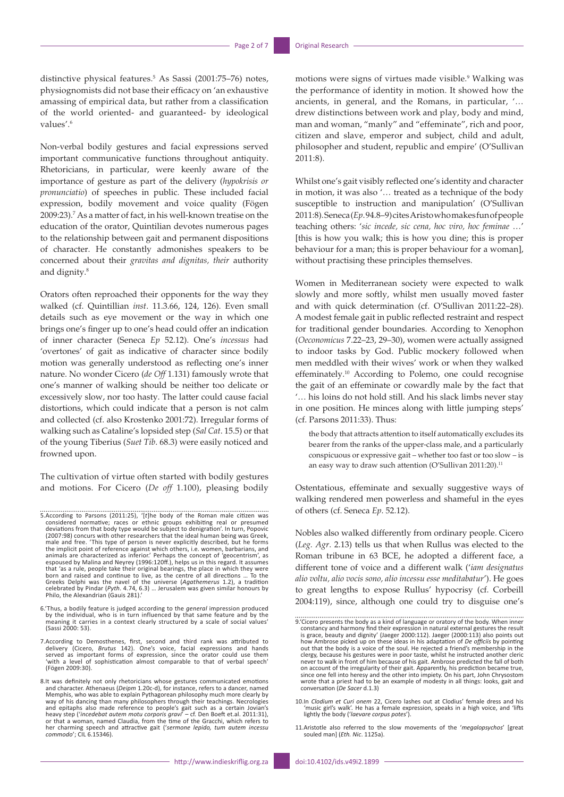distinctive physical features.<sup>5</sup> As Sassi (2001:75–76) notes, physiognomists did not base their efficacy on 'an exhaustive amassing of empirical data, but rather from a classification of the world oriented- and guaranteed- by ideological values' $6$ 

Non-verbal bodily gestures and facial expressions served important communicative functions throughout antiquity. Rhetoricians, in particular, were keenly aware of the importance of gesture as part of the delivery (*hypokrisis or pronunciatio*) of speeches in public. These included facial expression, bodily movement and voice quality (Fögen 2009:23).7 As a matter of fact, in his well-known treatise on the education of the orator, Quintilian devotes numerous pages to the relationship between gait and permanent dispositions of character. He constantly admonishes speakers to be concerned about their *gravitas and dignitas, their* authority and dignity.<sup>8</sup>

Orators often reproached their opponents for the way they walked (cf. Quintillian *inst*. 11.3.66, 124, 126). Even small details such as eye movement or the way in which one brings one's finger up to one's head could offer an indication of inner character (Seneca *Ep* 52.12). One's *incessus* had 'overtones' of gait as indicative of character since bodily motion was generally understood as reflecting one's inner nature. No wonder Cicero (*de Off* 1.131) famously wrote that one's manner of walking should be neither too delicate or excessively slow, nor too hasty. The latter could cause facial distortions, which could indicate that a person is not calm and collected (cf. also Krostenko 2001:72). Irregular forms of walking such as Cataline's lopsided step (*Sal Cat*. 15.5) or that of the young Tiberius (*Suet Tib*. 68.3) were easily noticed and frowned upon.

The cultivation of virtue often started with bodily gestures and motions. For Cicero (*De off* 1.100), pleasing bodily

6. Thus, a bodily feature is judged according to the *general* impression produced<br>by the individual, who is in turn influenced by that same feature and by the<br>meaning it carries in a context clearly structured by a scale (Sassi 2000: 53).

7. According to Demosthenes, first, second and third rank was attributed to delivery (Cicero, *Brutus* 142). One's voice, facial expressions and hands served as important forms of expression, since the orator could use the (Fögen 2009:30).

8.It was definitely not only rhetoricians whose gestures communicated emotions and character. Athenaeus (*Deipm* 1.20c-d), for instance, refers to a dancer, named Memphis, who was able to explain Pythagorean philosophy much more clearly by way of his dancing than many philosophers through their teachings. Necrologies and epitaphs also made reference to people's gait such as a certain Jovian's<br>heavy step ('i*ncedebat autem motu corporis gravi' –* cf. Den Boeft et.al. 2011:31),<br>or that a woman, named Claudia, from the time of the Gracchi her charming speech and attractive gait ('*sermone lepido, tum autem incessu commodo*'; CIL 6.15346).

motions were signs of virtues made visible.<sup>9</sup> Walking was the performance of identity in motion. It showed how the ancients, in general, and the Romans, in particular, '… drew distinctions between work and play, body and mind, man and woman, "manly" and "effeminate", rich and poor, citizen and slave, emperor and subject, child and adult, philosopher and student, republic and empire' (O'Sullivan 2011:8).

Whilst one's gait visibly reflected one's identity and character in motion, it was also '… treated as a technique of the body susceptible to instruction and manipulation' (O'Sullivan 2011:8). Seneca (*Ep*. 94.8–9) cites Aristo who makes fun of people teaching others: '*sic incede, sic cena, hoc viro, hoc feminae* …' [this is how you walk; this is how you dine; this is proper behaviour for a man; this is proper behaviour for a woman], without practising these principles themselves.

Women in Mediterranean society were expected to walk slowly and more softly, whilst men usually moved faster and with quick determination (cf. O'Sullivan 2011:22–28). A modest female gait in public reflected restraint and respect for traditional gender boundaries. According to Xenophon (*Oeconomicus* 7.22–23, 29–30), women were actually assigned to indoor tasks by God. Public mockery followed when men meddled with their wives' work or when they walked effeminately.10 According to Polemo, one could recognise the gait of an effeminate or cowardly male by the fact that '… his loins do not hold still. And his slack limbs never stay in one position. He minces along with little jumping steps' (cf. Parsons 2011:33). Thus:

the body that attracts attention to itself automatically excludes its bearer from the ranks of the upper-class male, and a particularly conspicuous or expressive gait – whether too fast or too slow – is an easy way to draw such attention (O'Sullivan 2011:20).<sup>11</sup>

Ostentatious, effeminate and sexually suggestive ways of walking rendered men powerless and shameful in the eyes of others (cf. Seneca *Ep*. 52.12).

Nobles also walked differently from ordinary people. Cicero (*Leg. Agr*. 2.13) tells us that when Rullus was elected to the Roman tribune in 63 BCE, he adopted a different face, a different tone of voice and a different walk ('*iam designatus alio voltu, alio vocis sono, alio incessu esse meditabatur*'). He goes to great lengths to expose Rullus' hypocrisy (cf. Corbeill 2004:119), since, although one could try to disguise one's

10.In *Clodium et Curi onem* 22, Cicero lashes out at Clodius' female dress and his 'music girl's walk'. He has a female expression, speaks in a high voice, and 'lifts lightly the body ('*laevare corpus potes*').

11.Aristotle also referred to the slow movements of the '*megalopsychos*' [great souled man] (*Eth. Nic*. 1125a).

<sup>5.</sup> According to Parsons (2011:25), '[t]he body of the Roman male citizen was considered normative; races or ethnic groups exhibiting real or presumed deviations from that body type would be subject to denigration'. In turn (2007:98) concurs with other researchers that the ideal human being was Greek,<br>male and free. 'This type of person is never explicitly described, but he forms<br>the implicit point of reference against which others, i.e. wome espoused by Malina and Neyrey (1996:120ff.), helps us in this regard. It assumes that 'as a rule, people take their original bearings, the place in which they were born and raised and continue to live, as the centre of all directions … To the Greeks Delphi was the navel of the universe (*Agathemerus* 1.2), a tradition celebrated by Pindar (*Pyth*. 4.74, 6.3) … Jerusalem was given similar honours by Philo, the Alexandrian (Gauis 281).'

<sup>9.&#</sup>x27;Cicero presents the body as a kind of language or oratory of the body. When inner constancy and harmony find their expression in natural external gestures the result<br>is grace, beauty and dignity' (Jaeger 2000:112). Jaeger (2000:113) also points out<br>how Ambrose picked up on these ideas in his adaptation clergy, because his gestures were in poor taste, whilst he instructed another cleric never to walk in front of him because of his gait. Ambrose predicted the fall of both on account of the irregularity of their gait. Apparently, his prediction became true, since one fell into heresy and the other into impiety. On his part, John Chrysostom wrote that a priest had to be an example of modesty in all things: looks, gait and conversation (*De Sacer* d.1.3)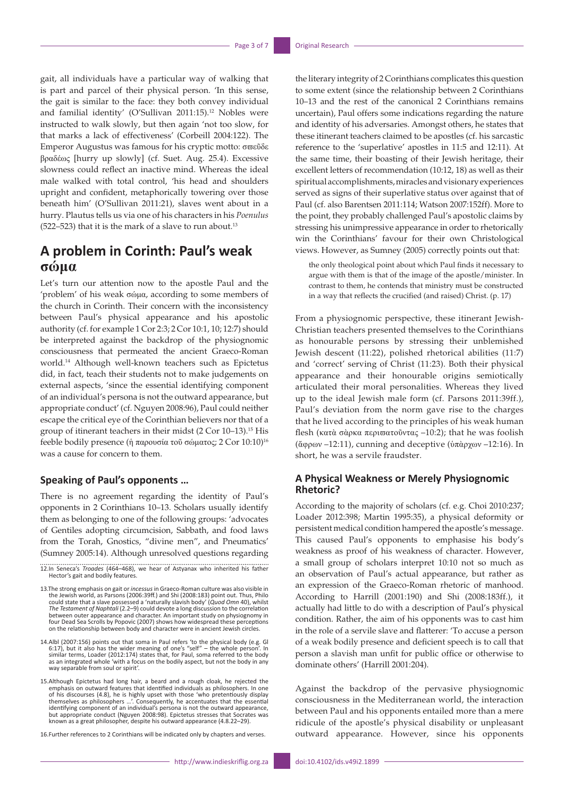gait, all individuals have a particular way of walking that is part and parcel of their physical person. 'In this sense, the gait is similar to the face: they both convey individual and familial identity' (O'Sullivan 2011:15).<sup>12</sup> Nobles were instructed to walk slowly, but then again 'not too slow, for that marks a lack of effectiveness' (Corbeill 2004:122). The Emperor Augustus was famous for his cryptic motto: σπεῦδε βραδέως [hurry up slowly] (cf. Suet. Aug. 25.4). Excessive slowness could reflect an inactive mind. Whereas the ideal male walked with total control, 'his head and shoulders upright and confident, metaphorically towering over those beneath him' (O'Sullivan 2011:21), slaves went about in a hurry. Plautus tells us via one of his characters in his *Poenulus* (522–523) that it is the mark of a slave to run about.<sup>13</sup>

## **A problem in Corinth: Paul's weak σώμα**

Let's turn our attention now to the apostle Paul and the 'problem' of his weak σώμα, according to some members of the church in Corinth. Their concern with the inconsistency between Paul's physical appearance and his apostolic authority (cf. for example 1 Cor 2:3; 2 Cor 10:1, 10; 12:7) should be interpreted against the backdrop of the physiognomic consciousness that permeated the ancient Graeco-Roman world.14 Although well-known teachers such as Epictetus did, in fact, teach their students not to make judgements on external aspects, 'since the essential identifying component of an individual's persona is not the outward appearance, but appropriate conduct' (cf. Nguyen 2008:96), Paul could neither escape the critical eye of the Corinthian believers nor that of a group of itinerant teachers in their midst (2 Cor 10–13).15 His feeble bodily presence (ἡ παρουσία τοῦ σώματος; 2 Cor 10:10)16 was a cause for concern to them.

### **Speaking of Paul's opponents …**

There is no agreement regarding the identity of Paul's opponents in 2 Corinthians 10–13. Scholars usually identify them as belonging to one of the following groups: 'advocates of Gentiles adopting circumcision, Sabbath, and food laws from the Torah, Gnostics, "divine men", and Pneumatics' (Sumney 2005:14). Although unresolved questions regarding

14.Albl (2007:156) points out that soma in Paul refers 'to the physical body (e.g. GI 6:17), but it also has the wider meaning of one's "eelf" – the whole person'. In similar terms, Loader (2012:174) states that, for Paul way separable from soul or spirit'.

15.Although Epictetus had long hair, a beard and a rough cloak, he rejected the emphasis on outward features that identified individuals as philosophers. In one of his discourses (4.8), he is highly upset with those 'who pretentiously display themselves as philosophers …'. Consequently, he accentuates that the essential identifying component of an individual's persona is not the outward appearance,<br>but appropriate conduct (Nguyen 2008:98). Epictetus stresses that Socrates was<br>known as a great philosopher, despite his outward appearance (4

16.Further references to 2 Corinthians will be indicated only by chapters and verses.

the literary integrity of 2 Corinthians complicates this question to some extent (since the relationship between 2 Corinthians 10–13 and the rest of the canonical 2 Corinthians remains uncertain), Paul offers some indications regarding the nature and identity of his adversaries. Amongst others, he states that these itinerant teachers claimed to be apostles (cf. his sarcastic reference to the 'superlative' apostles in 11:5 and 12:11). At the same time, their boasting of their Jewish heritage, their excellent letters of recommendation (10:12, 18) as well as their spiritual accomplishments, miracles and visionary experiences served as signs of their superlative status over against that of Paul (cf. also Barentsen 2011:114; Watson 2007:152ff). More to the point, they probably challenged Paul's apostolic claims by stressing his unimpressive appearance in order to rhetorically win the Corinthians' favour for their own Christological views. However, as Sumney (2005) correctly points out that:

the only theological point about which Paul finds it necessary to argue with them is that of the image of the apostle/minister. In contrast to them, he contends that ministry must be constructed in a way that reflects the crucified (and raised) Christ. (p. 17)

From a physiognomic perspective, these itinerant Jewish-Christian teachers presented themselves to the Corinthians as honourable persons by stressing their unblemished Jewish descent (11:22), polished rhetorical abilities (11:7) and 'correct' serving of Christ (11:23). Both their physical appearance and their honourable origins semiotically articulated their moral personalities. Whereas they lived up to the ideal Jewish male form (cf. Parsons 2011:39ff.), Paul's deviation from the norm gave rise to the charges that he lived according to the principles of his weak human flesh (κατὰ σὰρκα περιπατοῦντας -10:2); that he was foolish (ἄφρων –12:11), cunning and deceptive (ὑπὰρχων –12:16). In short, he was a servile fraudster.

### **A Physical Weakness or Merely Physiognomic Rhetoric?**

According to the majority of scholars (cf. e.g. Choi 2010:237; Loader 2012:398; Martin 1995:35), a physical deformity or persistent medical condition hampered the apostle's message. This caused Paul's opponents to emphasise his body's weakness as proof of his weakness of character. However, a small group of scholars interpret 10:10 not so much as an observation of Paul's actual appearance, but rather as an expression of the Graeco-Roman rhetoric of manhood. According to Harrill (2001:190) and Shi (2008:183ff.), it actually had little to do with a description of Paul's physical condition. Rather, the aim of his opponents was to cast him in the role of a servile slave and flatterer: 'To accuse a person of a weak bodily presence and deficient speech is to call that person a slavish man unfit for public office or otherwise to dominate others' (Harrill 2001:204).

Against the backdrop of the pervasive physiognomic consciousness in the Mediterranean world, the interaction between Paul and his opponents entailed more than a mere ridicule of the apostle's physical disability or unpleasant outward appearance. However, since his opponents

<sup>12.</sup>In Seneca's *Troades* (464–468), we hear of Astyanax who inherited his father Hector's gait and bodily features.

<sup>13.</sup>The strong emphasis on gait or *incessus* in Graeco-Roman culture was also visible in the Jewish world, as Parsons (2006:39ff.) and Shi (2008:183) point out. Thus, Philo could state that a slave possessed a 'naturally slavish body' (*Quod Omn* 40), whilst *The Testament of Naphtali* (2.2–9) could devote a long discussion to the correlation between outer appearance and character. An important study on physiognomy in four Dead Sea Scrolls by Popovic (2007) shows how widespread these perceptions on the relationship between body and character were in ancient Jewish circles.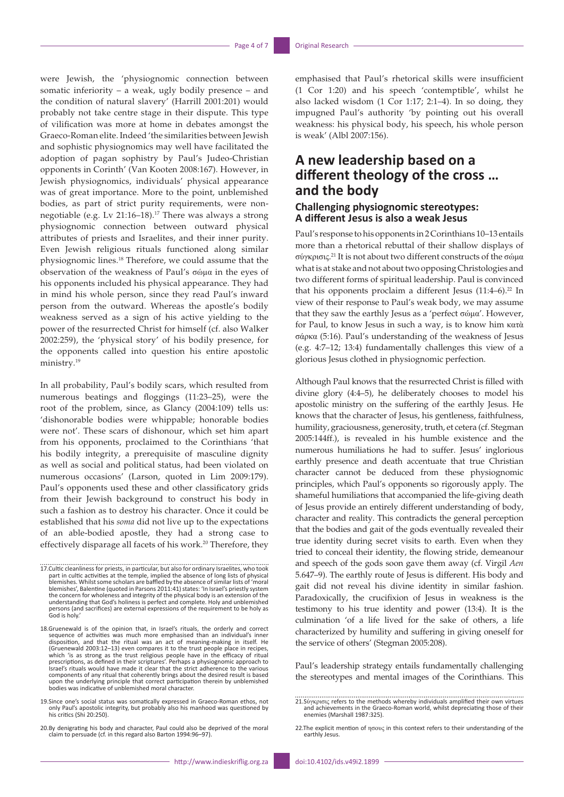were Jewish, the 'physiognomic connection between somatic inferiority – a weak, ugly bodily presence – and the condition of natural slavery' (Harrill 2001:201) would probably not take centre stage in their dispute. This type of vilification was more at home in debates amongst the Graeco-Roman elite. Indeed 'the similarities between Jewish and sophistic physiognomics may well have facilitated the adoption of pagan sophistry by Paul's Judeo-Christian opponents in Corinth' (Van Kooten 2008:167). However, in Jewish physiognomics, individuals' physical appearance was of great importance. More to the point, unblemished bodies, as part of strict purity requirements, were nonnegotiable (e.g. Lv 21:16–18).<sup>17</sup> There was always a strong physiognomic connection between outward physical attributes of priests and Israelites, and their inner purity. Even Jewish religious rituals functioned along similar physiognomic lines.18 Therefore, we could assume that the observation of the weakness of Paul's σώμα in the eyes of his opponents included his physical appearance. They had in mind his whole person, since they read Paul's inward person from the outward. Whereas the apostle's bodily weakness served as a sign of his active yielding to the power of the resurrected Christ for himself (cf. also Walker 2002:259), the 'physical story' of his bodily presence, for the opponents called into question his entire apostolic ministry.19

In all probability, Paul's bodily scars, which resulted from numerous beatings and floggings (11:23–25), were the root of the problem, since, as Glancy (2004:109) tells us: 'dishonorable bodies were whippable; honorable bodies were not'. These scars of dishonour, which set him apart from his opponents, proclaimed to the Corinthians 'that his bodily integrity, a prerequisite of masculine dignity as well as social and political status, had been violated on numerous occasions' (Larson, quoted in Lim 2009:179). Paul's opponents used these and other classificatory grids from their Jewish background to construct his body in such a fashion as to destroy his character. Once it could be established that his *soma* did not live up to the expectations of an able-bodied apostle, they had a strong case to effectively disparage all facets of his work.<sup>20</sup> Therefore, they

19.Since one's social status was somatically expressed in Graeco-Roman ethos, not only Paul's apostolic integrity, but probably also his manhood was questioned by his critics (Shi 20:250).

20.By denigrating his body and character, Paul could also be deprived of the moral claim to persuade (cf. in this regard also Barton 1994:96–97).

emphasised that Paul's rhetorical skills were insufficient (1 Cor 1:20) and his speech 'contemptible', whilst he also lacked wisdom (1 Cor 1:17; 2:1–4). In so doing, they impugned Paul's authority 'by pointing out his overall weakness: his physical body, his speech, his whole person is weak' (Albl 2007:156).

# **A new leadership based on a different theology of the cross … and the body**

### **Challenging physiognomic stereotypes: A different Jesus is also a weak Jesus**

Paul's response to his opponents in 2 Corinthians 10–13 entails more than a rhetorical rebuttal of their shallow displays of σύγκρισις. 21 It is not about two different constructs of the σώμα what is at stake and not about two opposing Christologies and two different forms of spiritual leadership. Paul is convinced that his opponents proclaim a different Jesus  $(11:4-6).^{22}$  In view of their response to Paul's weak body, we may assume that they saw the earthly Jesus as a 'perfect σώμα'. However, for Paul, to know Jesus in such a way, is to know him κατὰ σάρκα (5:16). Paul's understanding of the weakness of Jesus (e.g. 4:7–12; 13:4) fundamentally challenges this view of a glorious Jesus clothed in physiognomic perfection.

Although Paul knows that the resurrected Christ is filled with divine glory (4:4–5), he deliberately chooses to model his apostolic ministry on the suffering of the earthly Jesus. He knows that the character of Jesus, his gentleness, faithfulness, humility, graciousness, generosity, truth, et cetera (cf. Stegman 2005:144ff.), is revealed in his humble existence and the numerous humiliations he had to suffer. Jesus' inglorious earthly presence and death accentuate that true Christian character cannot be deduced from these physiognomic principles, which Paul's opponents so rigorously apply. The shameful humiliations that accompanied the life-giving death of Jesus provide an entirely different understanding of body, character and reality. This contradicts the general perception that the bodies and gait of the gods eventually revealed their true identity during secret visits to earth. Even when they tried to conceal their identity, the flowing stride, demeanour and speech of the gods soon gave them away (cf. Virgil *Aen* 5.647–9). The earthly route of Jesus is different. His body and gait did not reveal his divine identity in similar fashion. Paradoxically, the crucifixion of Jesus in weakness is the testimony to his true identity and power (13:4). It is the culmination 'of a life lived for the sake of others, a life characterized by humility and suffering in giving oneself for the service of others' (Stegman 2005:208).

Paul's leadership strategy entails fundamentally challenging the stereotypes and mental images of the Corinthians. This

<sup>17.</sup>Cultic cleanliness for priests, in particular, but also for ordinary Israelites, who took part in cultic activities at the temple, implied the absence of long lists of physical blemishes. Whilst some scholars are baffled by the absence of similar lists of 'moral blemishes', Balentine (quoted in Parsons 2011:41) states: 'In Israel's priestly system the concern for wholeness and integrity of the physical body is an extension of the understanding that God's holiness is perfect and complete. Holy and unblemished persons (and sacrifices) are external expressions of the requirement to be holy as God is holy.'

<sup>18.</sup>Gruenewald is of the opinion that, in Israel's rituals, the orderly and correct sequence of activities was much more emphasised than an individual's inner disposition, and that the ritual was an act of meaning-making in itself. He (Gruenewald 2003:12–13) even compares it to the trust people place in recipes, which 'is as strong as the trust religious people have in the efficacy of ritual prescriptions, as defined in their scriptures'. Perhaps a physiognomic approach to Israel's rituals would have made it clear that the strict adherence to the various components of any ritual that coherently brings about the desired result is based upon the underlying principle that correct participation therein by unblemished bodies was indicative of unblemished moral character.

<sup>21.</sup>Sύγκρισις refers to the methods whereby individuals amplified their own virtues and achievements in the Graeco-Roman world, whilst depreciating those of their enemies (Marshall 1987:325).

<sup>22.</sup>The explicit mention of ησους in this context refers to their understanding of the earthly Jesus.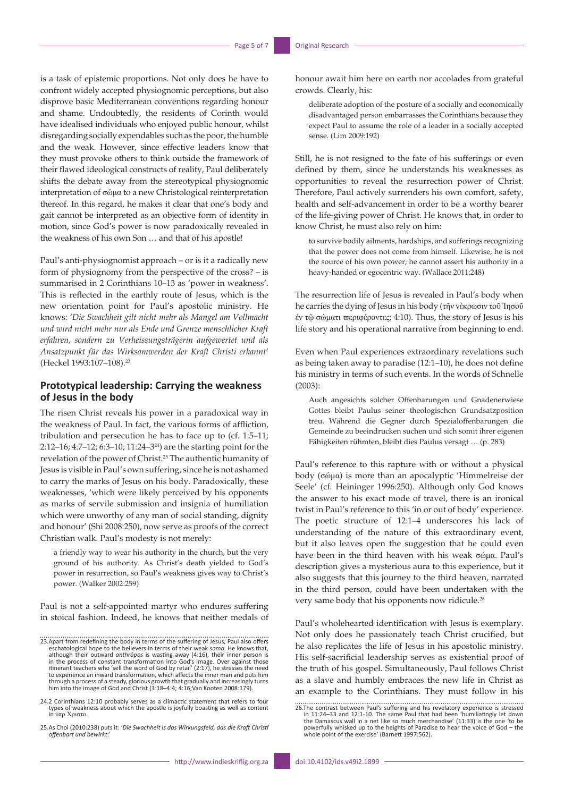is a task of epistemic proportions. Not only does he have to confront widely accepted physiognomic perceptions, but also disprove basic Mediterranean conventions regarding honour and shame. Undoubtedly, the residents of Corinth would have idealised individuals who enjoyed public honour, whilst disregarding socially expendables such as the poor, the humble and the weak. However, since effective leaders know that they must provoke others to think outside the framework of their flawed ideological constructs of reality, Paul deliberately shifts the debate away from the stereotypical physiognomic interpretation of σώμα to a new Christological reinterpretation thereof. In this regard, he makes it clear that one's body and gait cannot be interpreted as an objective form of identity in motion, since God's power is now paradoxically revealed in the weakness of his own Son … and that of his apostle!

Paul's anti-physiognomist approach – or is it a radically new form of physiognomy from the perspective of the cross? – is summarised in 2 Corinthians 10–13 as 'power in weakness'. This is reflected in the earthly route of Jesus, which is the new orientation point for Paul's apostolic ministry. He knows: '*Die Swachheit gilt nicht mehr als Mangel am Vollmacht und wird nicht mehr nur als Ende und Grenze menschlicher Kraft erfahren, sondern zu Verheissungsträgerin aufgewertet und als Ansatzpunkt für das Wirksamwerden der Kraft Christi erkannt*' (Heckel 1993:107–108).23

### **Prototypical leadership: Carrying the weakness of Jesus in the body**

The risen Christ reveals his power in a paradoxical way in the weakness of Paul. In fact, the various forms of affliction, tribulation and persecution he has to face up to (cf. 1:5–11; 2:12–16; 4:7–12; 6:3–10; 11:24–324) are the starting point for the revelation of the power of Christ.<sup>25</sup> The authentic humanity of Jesus is visible in Paul's own suffering, since he is not ashamed to carry the marks of Jesus on his body. Paradoxically, these weaknesses, 'which were likely perceived by his opponents as marks of servile submission and insignia of humiliation which were unworthy of any man of social standing, dignity and honour' (Shi 2008:250), now serve as proofs of the correct Christian walk. Paul's modesty is not merely:

a friendly way to wear his authority in the church, but the very ground of his authority. As Christ's death yielded to God's power in resurrection, so Paul's weakness gives way to Christ's power. (Walker 2002:259)

Paul is not a self-appointed martyr who endures suffering in stoical fashion. Indeed, he knows that neither medals of

24.2 Corinthians 12:10 probably serves as a climactic statement that refers to four types of weakness about which the apostle is joyfully boasting as well as content in ύπρ Χριστο.

25.As Choi (2010:238) puts it: '*Die Swachheit is das Wirkungsfeld, das die Kraft Christi offenbart und bewirkt*.'

honour await him here on earth nor accolades from grateful crowds. Clearly, his:

deliberate adoption of the posture of a socially and economically disadvantaged person embarrasses the Corinthians because they expect Paul to assume the role of a leader in a socially accepted sense. (Lim 2009:192)

Still, he is not resigned to the fate of his sufferings or even defined by them, since he understands his weaknesses as opportunities to reveal the resurrection power of Christ. Therefore, Paul actively surrenders his own comfort, safety, health and self-advancement in order to be a worthy bearer of the life-giving power of Christ. He knows that, in order to know Christ, he must also rely on him:

to survive bodily ailments, hardships, and sufferings recognizing that the power does not come from himself. Likewise, he is not the source of his own power; he cannot assert his authority in a heavy-handed or egocentric way. (Wallace 2011:248)

The resurrection life of Jesus is revealed in Paul's body when he carries the dying of Jesus in his body (τῆν νέκρωσιν τοῦ Ἰησοῦ ἐν τῷ σώματι περιφέροντες; 4:10). Thus, the story of Jesus is his life story and his operational narrative from beginning to end.

Even when Paul experiences extraordinary revelations such as being taken away to paradise (12:1–10), he does not define his ministry in terms of such events. In the words of Schnelle (2003):

Auch angesichts solcher Offenbarungen und Gnadenerwiese Gottes bleibt Paulus seiner theologischen Grundsatzposition treu. Während die Gegner durch Spezialoffenbarungen die Gemeinde zu beeindrucken suchen und sich somit ihrer eigenen Fähigkeiten rühmten, bleibt dies Paulus versagt … (p. 283)

Paul's reference to this rapture with or without a physical body (σώμα) is more than an apocalyptic 'Himmelreise der Seele' (cf. Heininger 1996:250). Although only God knows the answer to his exact mode of travel, there is an ironical twist in Paul's reference to this 'in or out of body' experience. The poetic structure of 12:1–4 underscores his lack of understanding of the nature of this extraordinary event, but it also leaves open the suggestion that he could even have been in the third heaven with his weak σώμα. Paul's description gives a mysterious aura to this experience, but it also suggests that this journey to the third heaven, narrated in the third person, could have been undertaken with the very same body that his opponents now ridicule.<sup>26</sup>

Paul's wholehearted identification with Jesus is exemplary. Not only does he passionately teach Christ crucified, but he also replicates the life of Jesus in his apostolic ministry. His self-sacrificial leadership serves as existential proof of the truth of his gospel. Simultaneously, Paul follows Christ as a slave and humbly embraces the new life in Christ as an example to the Corinthians. They must follow in his

<sup>23.</sup>Apart from redefining the body in terms of the suffering of Jesus, Paul also offers eschatological hope to the believers in terms of their weak *soma*. He knows that, although their outward *anthrōpos* is wasting away (4:16), their inner person is in the process of constant transformation into God's image. Over against those itinerant teachers who 'sell the word of God by retail' (2:17), he stresses the need to experience an inward transformation, which affects the inner man and puts him through a process of a steady, glorious growth that gradually and increasingly turns him into the image of God and Christ (3:18–4:4; 4:16;Van Kooten 2008:179).

<sup>26.</sup>The contrast between Paul's suffering and his revelatory experience is stressed<br>in 11:24-33 and 12:1-10. The same Paul that had been 'humiliatingly let down<br>the Damascus wall in a net like so much merchandise' (11:33) i powerfully whisked up to the heights of Paradise to hear the voice of God – the whole point of the exercise' (Barnett 1997:562).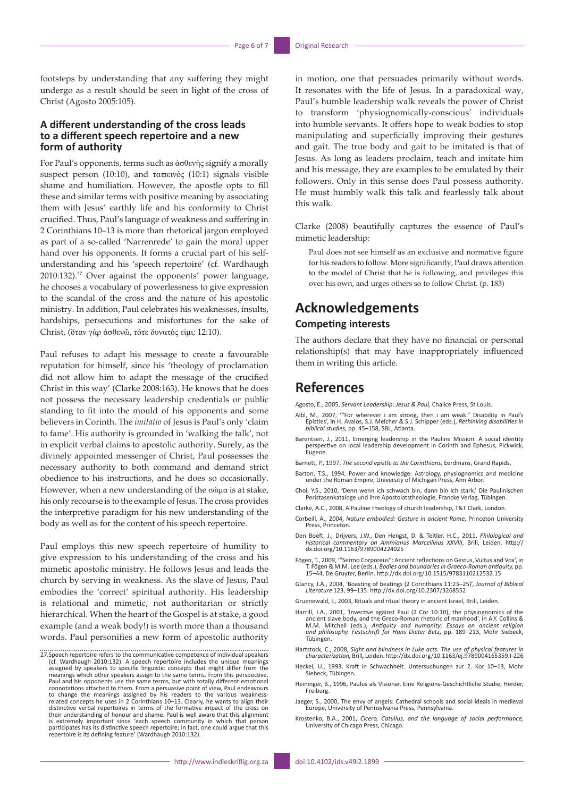footsteps by understanding that any suffering they might undergo as a result should be seen in light of the cross of Christ (Agosto 2005:105).

### **A different understanding of the cross leads to a different speech repertoire and a new form of authority**

For Paul's opponents, terms such as ἀσθενὴς signify a morally suspect person (10:10), and ταπεινός (10:1) signals visible shame and humiliation. However, the apostle opts to fill these and similar terms with positive meaning by associating them with Jesus' earthly life and his conformity to Christ crucified. Thus, Paul's language of weakness and suffering in 2 Corinthians 10–13 is more than rhetorical jargon employed as part of a so-called 'Narrenrede' to gain the moral upper hand over his opponents. It forms a crucial part of his selfunderstanding and his 'speech repertoire' (cf. Wardhaugh  $2010:132$ .<sup>27</sup> Over against the opponents' power language, he chooses a vocabulary of powerlessness to give expression to the scandal of the cross and the nature of his apostolic ministry. In addition, Paul celebrates his weaknesses, insults, hardships, persecutions and misfortunes for the sake of Christ, (ὃταν γὰρ ἀσθενῶ, τότε δυνατός εἰμι; 12:10).

Paul refuses to adapt his message to create a favourable reputation for himself, since his 'theology of proclamation did not allow him to adapt the message of the crucified Christ in this way' (Clarke 2008:163). He knows that he does not possess the necessary leadership credentials or public standing to fit into the mould of his opponents and some believers in Corinth. The *imitatio* of Jesus is Paul's only 'claim to fame'. His authority is grounded in 'walking the talk', not in explicit verbal claims to apostolic authority. Surely, as the divinely appointed messenger of Christ, Paul possesses the necessary authority to both command and demand strict obedience to his instructions, and he does so occasionally. However, when a new understanding of the σώμα is at stake, his only recourse is to the example of Jesus. The cross provides the interpretive paradigm for his new understanding of the body as well as for the content of his speech repertoire.

Paul employs this new speech repertoire of humility to give expression to his understanding of the cross and his mimetic apostolic ministry. He follows Jesus and leads the church by serving in weakness. As the slave of Jesus, Paul embodies the 'correct' spiritual authority. His leadership is relational and mimetic, not authoritarian or strictly hierarchical. When the heart of the Gospel is at stake, a good example (and a weak body!) is worth more than a thousand words. Paul personifies a new form of apostolic authority

27.Speech repertoire refers to the communicative competence of individual speakers (cf. Wardhaugh 2010:132). A speech repertoire includes the unique meanings assigned by speakers to specific linguistic concepts that might differ from the meanings which other speakers assign to the same terms. From this perspective, Paul and his opponents use the same terms, but with totally different emotional connotations attached to them. From a persuasive point of view, Paul endeavours<br>to change the meanings assigned by his readers to the various weakness-<br>related concepts he uses in 2 Corinthians 10–13. Clearly, he want distinctive verbal repertoires in terms of the formative impact of the cross on<br>their understanding of honour and shame. Paul is well aware that this alignment<br>is extremely important since 'each speech community in which t participates has its distinctive speech repertoire; in fact, one could argue that this repertoire is its defining feature' (Wardhaugh 2010:132).

in motion, one that persuades primarily without words. It resonates with the life of Jesus. In a paradoxical way, Paul's humble leadership walk reveals the power of Christ to transform 'physiognomically-conscious' individuals into humble servants. It offers hope to weak bodies to stop manipulating and superficially improving their gestures and gait. The true body and gait to be imitated is that of Jesus. As long as leaders proclaim, teach and imitate him and his message, they are examples to be emulated by their followers. Only in this sense does Paul possess authority. He must humbly walk this talk and fearlessly talk about this walk.

Clarke (2008) beautifully captures the essence of Paul's mimetic leadership:

Paul does not see himself as an exclusive and normative figure for his readers to follow. More significantly, Paul draws attention to the model of Christ that he is following, and privileges this over his own, and urges others so to follow Christ. (p. 183)

# **Acknowledgements**

#### **Competing interests**

The authors declare that they have no financial or personal relationship(s) that may have inappropriately influenced them in writing this article.

### **References**

Agosto, E., 2005, *Servant Leadership: Jesus & Paul,* Chalice Press, St Louis.

- Albl, M., 2007, '"For wherever i am strong, then i am weak." Disability in Paul's Epistles', in H. Avalos, S.J. Melcher & S.J. Schipper (eds.), *Rethinking disabilities in biblical studies,* pp. 45–158, SBL, Atlanta.
- Barentsen, J., 2011, Emerging leadership in the Pauline Mission. A social identity perspective on local leadership development in Corinth and Ephesus, Pickwick, Eugene.
- Barnett, P., 1997, *The second epistle to the Corinthians,* Eerdmans, Grand Rapids.
- Barton, T.S., 1994, Power and knowledge: Astrology, physiognomics and medicine under the Roman Empire, University of Michigan Press, Ann Arbor.
- Choi, Y.S., 2010, **'**Denn wenn ich schwach bin, dann bin ich stark.' Die Paulinischen Peristasenkataloge und ihre Apostolatstheologie, Francke Verlag, Tübingen.
- Clarke, A.C., 2008, A Pauline theology of church leadership, T&T Clark, London.
- Corbeill, A., 2004, *Nature embodied: Gesture in ancient Rome,* Princeton University Press, Princeton.
- Den Boeft, J., Drijvers, J.W., Den Hengst, D. & Teitler, H.C., 2011, *Philological and historical commentary on Ammianus Marcellinus XXVIII,* Brill, Leiden. [http://](http://dx.doi.org/10.1163/9789004224025) [dx.doi.org/10.1163/9789004224025](http://dx.doi.org/10.1163/9789004224025)
- Fögen, T., 2009, '"Sermo Corporeus": Ancient reflections on Gestus, Vultus and Vox', in T. Fögen & M.M. Lee (eds.), *Bodies and boundaries in Graeco-Roman antiquity,* pp. 15–44, De Gruyter, Berlin. <http://dx.doi.org/10.1515/9783110212532.15>
- Glancy, J.A., 2004, 'Boasting of beatings (2 Corinthians 11:23–25)', *Journal of Biblical Literature* 123, 99–135. <http://dx.doi.org/10.2307/3268552>
- Gruenewald, I., 2003, Rituals and ritual theory in ancient Israel, Brill, Leiden.
- Harrill, J.A., 2001, 'Invective against Paul (2 Cor 10:10), the physiognomics of the<br>ancient slave body, and the Greco-Roman rhetoric of manhood', in A.Y. Collins &<br>M.M. Mitchell (eds.), Antiquity and humanity: Essays on a *and philosophy. Festschrift for Hans Dieter Betz,* pp. 189–213, Mohr Siebeck, Tübingen.
- Hartstock, C., 2008, *Sight and blindness in Luke acts. The use of physical features in characterization,* Brill*,* Leiden.<http://dx.doi.org/10.1163/ej.9789004165359.I-226>
- Heckel, U., 1993, Kraft in Schwachheit. Untersuchungen zur 2. Kor 10–13, Mohr Siebeck, Tübingen.
- Heininger, B., 1996, Paulus als Visionär. Eine Religions-Geschichtliche Studie, Herder, Freiburg.
- Jaeger, S., 2000, The envy of angels: Cathedral schools and social ideals in medieval Europe, University of Pennsylvania Press, Pennsylvania.
- Krostenko, B.A., 2001, *Cicero, Catullus, and the language of social performance,*  University of Chicago Press, Chicago.